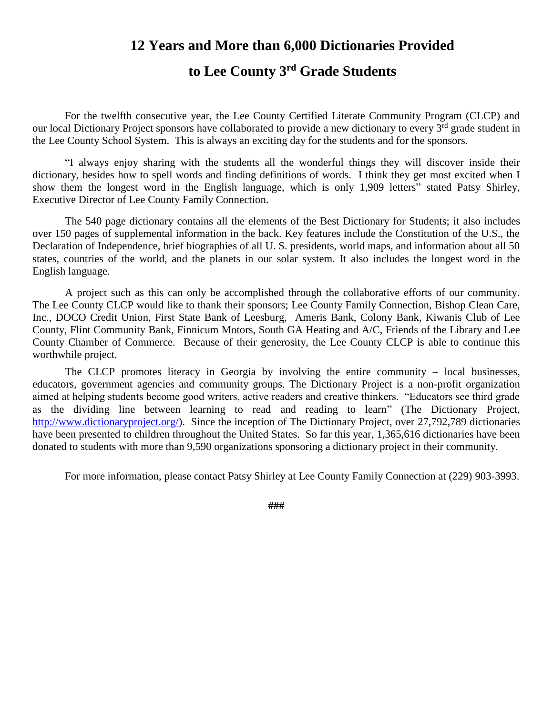## **12 Years and More than 6,000 Dictionaries Provided**

## **to Lee County 3 rd Grade Students**

For the twelfth consecutive year, the Lee County Certified Literate Community Program (CLCP) and our local Dictionary Project sponsors have collaborated to provide a new dictionary to every 3<sup>rd</sup> grade student in the Lee County School System. This is always an exciting day for the students and for the sponsors.

"I always enjoy sharing with the students all the wonderful things they will discover inside their dictionary, besides how to spell words and finding definitions of words. I think they get most excited when I show them the longest word in the English language, which is only 1,909 letters" stated Patsy Shirley, Executive Director of Lee County Family Connection.

The 540 page dictionary contains all the elements of the Best Dictionary for Students; it also includes over 150 pages of supplemental information in the back. Key features include the Constitution of the U.S., the Declaration of Independence, brief biographies of all U. S. presidents, world maps, and information about all 50 states, countries of the world, and the planets in our solar system. It also includes the longest word in the English language.

A project such as this can only be accomplished through the collaborative efforts of our community. The Lee County CLCP would like to thank their sponsors; Lee County Family Connection, Bishop Clean Care, Inc., DOCO Credit Union, First State Bank of Leesburg, Ameris Bank, Colony Bank, Kiwanis Club of Lee County, Flint Community Bank, Finnicum Motors, South GA Heating and A/C, Friends of the Library and Lee County Chamber of Commerce. Because of their generosity, the Lee County CLCP is able to continue this worthwhile project.

The CLCP promotes literacy in Georgia by involving the entire community – local businesses, educators, government agencies and community groups. The Dictionary Project is a non-profit organization aimed at helping students become good writers, active readers and creative thinkers. "Educators see third grade as the dividing line between learning to read and reading to learn" (The Dictionary Project, [http://www.dictionaryproject.org/\)](http://www.dictionaryproject.org/). Since the inception of The Dictionary Project, over 27,792,789 dictionaries have been presented to children throughout the United States. So far this year, 1,365,616 dictionaries have been donated to students with more than 9,590 organizations sponsoring a dictionary project in their community.

For more information, please contact Patsy Shirley at Lee County Family Connection at (229) 903-3993.

**###**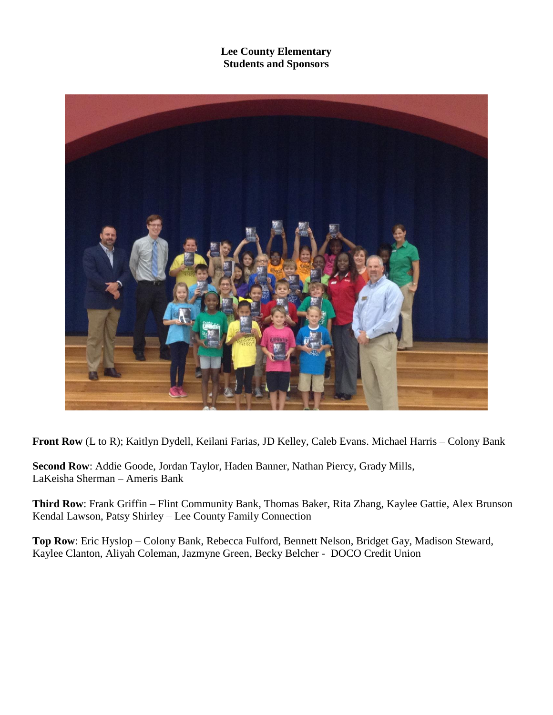**Lee County Elementary Students and Sponsors**



**Front Row** (L to R); Kaitlyn Dydell, Keilani Farias, JD Kelley, Caleb Evans. Michael Harris – Colony Bank

**Second Row**: Addie Goode, Jordan Taylor, Haden Banner, Nathan Piercy, Grady Mills, LaKeisha Sherman – Ameris Bank

**Third Row**: Frank Griffin – Flint Community Bank, Thomas Baker, Rita Zhang, Kaylee Gattie, Alex Brunson Kendal Lawson, Patsy Shirley – Lee County Family Connection

**Top Row**: Eric Hyslop – Colony Bank, Rebecca Fulford, Bennett Nelson, Bridget Gay, Madison Steward, Kaylee Clanton, Aliyah Coleman, Jazmyne Green, Becky Belcher - DOCO Credit Union